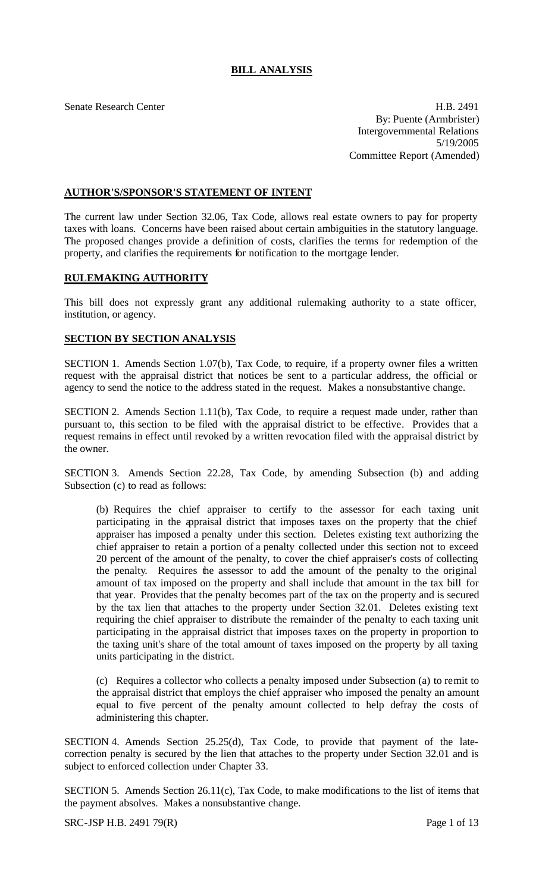# **BILL ANALYSIS**

Senate Research Center **H.B. 2491** By: Puente (Armbrister) Intergovernmental Relations 5/19/2005 Committee Report (Amended)

# **AUTHOR'S/SPONSOR'S STATEMENT OF INTENT**

The current law under Section 32.06, Tax Code, allows real estate owners to pay for property taxes with loans. Concerns have been raised about certain ambiguities in the statutory language. The proposed changes provide a definition of costs, clarifies the terms for redemption of the property, and clarifies the requirements for notification to the mortgage lender.

# **RULEMAKING AUTHORITY**

This bill does not expressly grant any additional rulemaking authority to a state officer, institution, or agency.

### **SECTION BY SECTION ANALYSIS**

SECTION 1. Amends Section 1.07(b), Tax Code, to require, if a property owner files a written request with the appraisal district that notices be sent to a particular address, the official or agency to send the notice to the address stated in the request. Makes a nonsubstantive change.

SECTION 2. Amends Section 1.11(b), Tax Code, to require a request made under, rather than pursuant to, this section to be filed with the appraisal district to be effective. Provides that a request remains in effect until revoked by a written revocation filed with the appraisal district by the owner.

SECTION 3. Amends Section 22.28, Tax Code, by amending Subsection (b) and adding Subsection (c) to read as follows:

(b) Requires the chief appraiser to certify to the assessor for each taxing unit participating in the appraisal district that imposes taxes on the property that the chief appraiser has imposed a penalty under this section. Deletes existing text authorizing the chief appraiser to retain a portion of a penalty collected under this section not to exceed 20 percent of the amount of the penalty, to cover the chief appraiser's costs of collecting the penalty. Requires the assessor to add the amount of the penalty to the original amount of tax imposed on the property and shall include that amount in the tax bill for that year. Provides that the penalty becomes part of the tax on the property and is secured by the tax lien that attaches to the property under Section 32.01. Deletes existing text requiring the chief appraiser to distribute the remainder of the penalty to each taxing unit participating in the appraisal district that imposes taxes on the property in proportion to the taxing unit's share of the total amount of taxes imposed on the property by all taxing units participating in the district.

(c) Requires a collector who collects a penalty imposed under Subsection (a) to remit to the appraisal district that employs the chief appraiser who imposed the penalty an amount equal to five percent of the penalty amount collected to help defray the costs of administering this chapter.

SECTION 4. Amends Section 25.25(d), Tax Code, to provide that payment of the latecorrection penalty is secured by the lien that attaches to the property under Section 32.01 and is subject to enforced collection under Chapter 33.

SECTION 5. Amends Section 26.11(c), Tax Code, to make modifications to the list of items that the payment absolves. Makes a nonsubstantive change.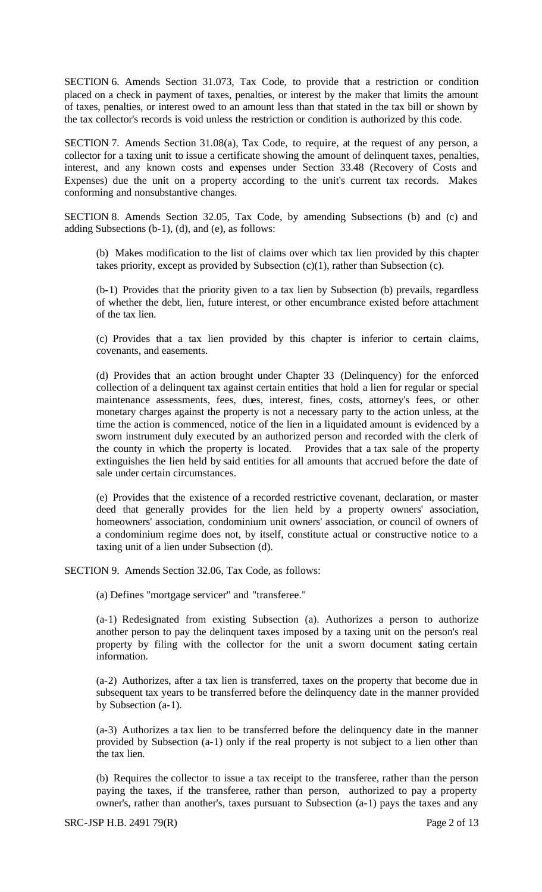SECTION 6. Amends Section 31.073, Tax Code, to provide that a restriction or condition placed on a check in payment of taxes, penalties, or interest by the maker that limits the amount of taxes, penalties, or interest owed to an amount less than that stated in the tax bill or shown by the tax collector's records is void unless the restriction or condition is authorized by this code.

SECTION 7. Amends Section 31.08(a), Tax Code, to require, at the request of any person, a collector for a taxing unit to issue a certificate showing the amount of delinquent taxes, penalties, interest, and any known costs and expenses under Section 33.48 (Recovery of Costs and Expenses) due the unit on a property according to the unit's current tax records. Makes conforming and nonsubstantive changes.

SECTION 8. Amends Section 32.05, Tax Code, by amending Subsections (b) and (c) and adding Subsections (b-1), (d), and (e), as follows:

(b) Makes modification to the list of claims over which tax lien provided by this chapter takes priority, except as provided by Subsection  $(c)(1)$ , rather than Subsection  $(c)$ .

(b-1) Provides that the priority given to a tax lien by Subsection (b) prevails, regardless of whether the debt, lien, future interest, or other encumbrance existed before attachment of the tax lien.

(c) Provides that a tax lien provided by this chapter is inferior to certain claims, covenants, and easements.

(d) Provides that an action brought under Chapter 33 (Delinquency) for the enforced collection of a delinquent tax against certain entities that hold a lien for regular or special maintenance assessments, fees, dues, interest, fines, costs, attorney's fees, or other monetary charges against the property is not a necessary party to the action unless, at the time the action is commenced, notice of the lien in a liquidated amount is evidenced by a sworn instrument duly executed by an authorized person and recorded with the clerk of the county in which the property is located. Provides that a tax sale of the property extinguishes the lien held by said entities for all amounts that accrued before the date of sale under certain circumstances.

(e) Provides that the existence of a recorded restrictive covenant, declaration, or master deed that generally provides for the lien held by a property owners' association, homeowners' association, condominium unit owners' association, or council of owners of a condominium regime does not, by itself, constitute actual or constructive notice to a taxing unit of a lien under Subsection (d).

SECTION 9. Amends Section 32.06, Tax Code, as follows:

(a) Defines "mortgage servicer" and "transferee."

(a-1) Redesignated from existing Subsection (a). Authorizes a person to authorize another person to pay the delinquent taxes imposed by a taxing unit on the person's real property by filing with the collector for the unit a sworn document stating certain information.

(a-2) Authorizes, after a tax lien is transferred, taxes on the property that become due in subsequent tax years to be transferred before the delinquency date in the manner provided by Subsection (a-1).

(a-3) Authorizes a tax lien to be transferred before the delinquency date in the manner provided by Subsection (a-1) only if the real property is not subject to a lien other than the tax lien.

(b) Requires the collector to issue a tax receipt to the transferee, rather than the person paying the taxes, if the transferee, rather than person, authorized to pay a property owner's, rather than another's, taxes pursuant to Subsection (a-1) pays the taxes and any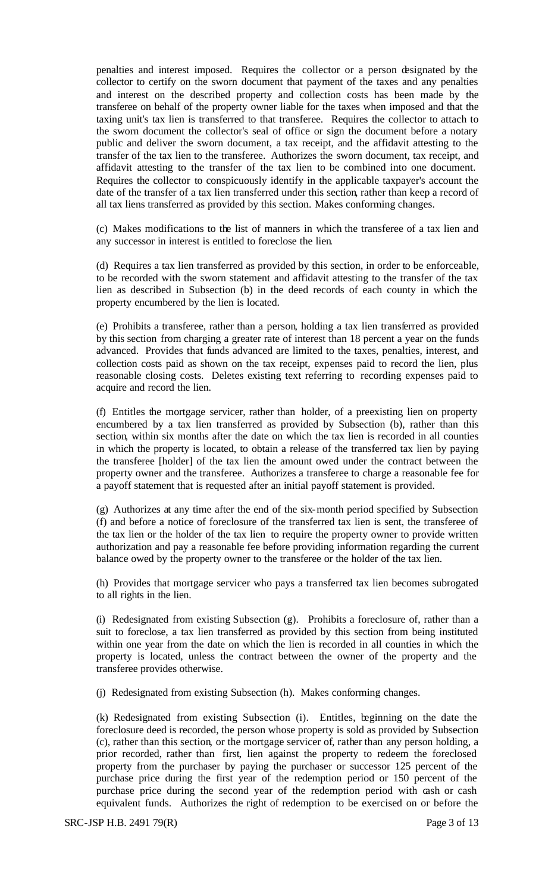penalties and interest imposed. Requires the collector or a person designated by the collector to certify on the sworn document that payment of the taxes and any penalties and interest on the described property and collection costs has been made by the transferee on behalf of the property owner liable for the taxes when imposed and that the taxing unit's tax lien is transferred to that transferee. Requires the collector to attach to the sworn document the collector's seal of office or sign the document before a notary public and deliver the sworn document, a tax receipt, and the affidavit attesting to the transfer of the tax lien to the transferee. Authorizes the sworn document, tax receipt, and affidavit attesting to the transfer of the tax lien to be combined into one document. Requires the collector to conspicuously identify in the applicable taxpayer's account the date of the transfer of a tax lien transferred under this section, rather than keep a record of all tax liens transferred as provided by this section. Makes conforming changes.

(c) Makes modifications to the list of manners in which the transferee of a tax lien and any successor in interest is entitled to foreclose the lien.

(d) Requires a tax lien transferred as provided by this section, in order to be enforceable, to be recorded with the sworn statement and affidavit attesting to the transfer of the tax lien as described in Subsection (b) in the deed records of each county in which the property encumbered by the lien is located.

(e) Prohibits a transferee, rather than a person, holding a tax lien transferred as provided by this section from charging a greater rate of interest than 18 percent a year on the funds advanced. Provides that funds advanced are limited to the taxes, penalties, interest, and collection costs paid as shown on the tax receipt, expenses paid to record the lien, plus reasonable closing costs. Deletes existing text referring to recording expenses paid to acquire and record the lien.

(f) Entitles the mortgage servicer, rather than holder, of a preexisting lien on property encumbered by a tax lien transferred as provided by Subsection (b), rather than this section, within six months after the date on which the tax lien is recorded in all counties in which the property is located, to obtain a release of the transferred tax lien by paying the transferee [holder] of the tax lien the amount owed under the contract between the property owner and the transferee. Authorizes a transferee to charge a reasonable fee for a payoff statement that is requested after an initial payoff statement is provided.

(g) Authorizes at any time after the end of the six-month period specified by Subsection (f) and before a notice of foreclosure of the transferred tax lien is sent, the transferee of the tax lien or the holder of the tax lien to require the property owner to provide written authorization and pay a reasonable fee before providing information regarding the current balance owed by the property owner to the transferee or the holder of the tax lien.

(h) Provides that mortgage servicer who pays a transferred tax lien becomes subrogated to all rights in the lien.

(i) Redesignated from existing Subsection (g). Prohibits a foreclosure of, rather than a suit to foreclose, a tax lien transferred as provided by this section from being instituted within one year from the date on which the lien is recorded in all counties in which the property is located, unless the contract between the owner of the property and the transferee provides otherwise.

(j) Redesignated from existing Subsection (h). Makes conforming changes.

(k) Redesignated from existing Subsection (i). Entitles, beginning on the date the foreclosure deed is recorded, the person whose property is sold as provided by Subsection (c), rather than this section, or the mortgage servicer of, rather than any person holding, a prior recorded, rather than first, lien against the property to redeem the foreclosed property from the purchaser by paying the purchaser or successor 125 percent of the purchase price during the first year of the redemption period or 150 percent of the purchase price during the second year of the redemption period with cash or cash equivalent funds. Authorizes the right of redemption to be exercised on or before the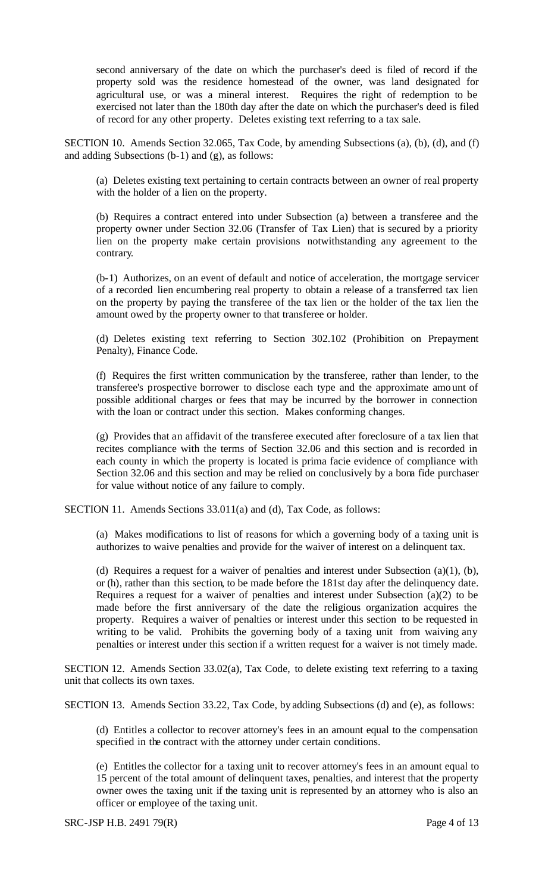second anniversary of the date on which the purchaser's deed is filed of record if the property sold was the residence homestead of the owner, was land designated for agricultural use, or was a mineral interest. Requires the right of redemption to be exercised not later than the 180th day after the date on which the purchaser's deed is filed of record for any other property. Deletes existing text referring to a tax sale.

SECTION 10. Amends Section 32.065, Tax Code, by amending Subsections (a), (b), (d), and (f) and adding Subsections (b-1) and (g), as follows:

(a) Deletes existing text pertaining to certain contracts between an owner of real property with the holder of a lien on the property.

(b) Requires a contract entered into under Subsection (a) between a transferee and the property owner under Section 32.06 (Transfer of Tax Lien) that is secured by a priority lien on the property make certain provisions notwithstanding any agreement to the contrary.

(b-1) Authorizes, on an event of default and notice of acceleration, the mortgage servicer of a recorded lien encumbering real property to obtain a release of a transferred tax lien on the property by paying the transferee of the tax lien or the holder of the tax lien the amount owed by the property owner to that transferee or holder.

(d) Deletes existing text referring to Section 302.102 (Prohibition on Prepayment Penalty), Finance Code.

(f) Requires the first written communication by the transferee, rather than lender, to the transferee's prospective borrower to disclose each type and the approximate amount of possible additional charges or fees that may be incurred by the borrower in connection with the loan or contract under this section. Makes conforming changes.

(g) Provides that an affidavit of the transferee executed after foreclosure of a tax lien that recites compliance with the terms of Section 32.06 and this section and is recorded in each county in which the property is located is prima facie evidence of compliance with Section 32.06 and this section and may be relied on conclusively by a bona fide purchaser for value without notice of any failure to comply.

SECTION 11. Amends Sections 33.011(a) and (d), Tax Code, as follows:

(a) Makes modifications to list of reasons for which a governing body of a taxing unit is authorizes to waive penalties and provide for the waiver of interest on a delinquent tax.

(d) Requires a request for a waiver of penalties and interest under Subsection (a)(1), (b), or (h), rather than this section, to be made before the 181st day after the delinquency date. Requires a request for a waiver of penalties and interest under Subsection (a)(2) to be made before the first anniversary of the date the religious organization acquires the property. Requires a waiver of penalties or interest under this section to be requested in writing to be valid. Prohibits the governing body of a taxing unit from waiving any penalties or interest under this section if a written request for a waiver is not timely made.

SECTION 12. Amends Section 33.02(a), Tax Code, to delete existing text referring to a taxing unit that collects its own taxes.

SECTION 13. Amends Section 33.22, Tax Code, by adding Subsections (d) and (e), as follows:

(d) Entitles a collector to recover attorney's fees in an amount equal to the compensation specified in the contract with the attorney under certain conditions.

(e) Entitles the collector for a taxing unit to recover attorney's fees in an amount equal to 15 percent of the total amount of delinquent taxes, penalties, and interest that the property owner owes the taxing unit if the taxing unit is represented by an attorney who is also an officer or employee of the taxing unit.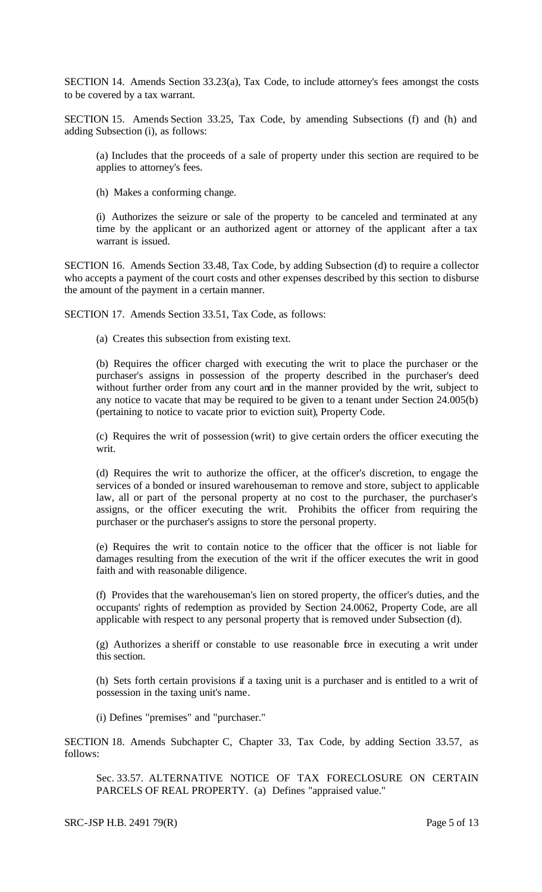SECTION 14. Amends Section 33.23(a), Tax Code, to include attorney's fees amongst the costs to be covered by a tax warrant.

SECTION 15. Amends Section 33.25, Tax Code, by amending Subsections (f) and (h) and adding Subsection (i), as follows:

(a) Includes that the proceeds of a sale of property under this section are required to be applies to attorney's fees.

(h) Makes a conforming change.

(i) Authorizes the seizure or sale of the property to be canceled and terminated at any time by the applicant or an authorized agent or attorney of the applicant after a tax warrant is issued.

SECTION 16. Amends Section 33.48, Tax Code, by adding Subsection (d) to require a collector who accepts a payment of the court costs and other expenses described by this section to disburse the amount of the payment in a certain manner.

SECTION 17. Amends Section 33.51, Tax Code, as follows:

(a) Creates this subsection from existing text.

(b) Requires the officer charged with executing the writ to place the purchaser or the purchaser's assigns in possession of the property described in the purchaser's deed without further order from any court and in the manner provided by the writ, subject to any notice to vacate that may be required to be given to a tenant under Section 24.005(b) (pertaining to notice to vacate prior to eviction suit), Property Code.

(c) Requires the writ of possession (writ) to give certain orders the officer executing the writ.

(d) Requires the writ to authorize the officer, at the officer's discretion, to engage the services of a bonded or insured warehouseman to remove and store, subject to applicable law, all or part of the personal property at no cost to the purchaser, the purchaser's assigns, or the officer executing the writ. Prohibits the officer from requiring the purchaser or the purchaser's assigns to store the personal property.

(e) Requires the writ to contain notice to the officer that the officer is not liable for damages resulting from the execution of the writ if the officer executes the writ in good faith and with reasonable diligence.

(f) Provides that the warehouseman's lien on stored property, the officer's duties, and the occupants' rights of redemption as provided by Section 24.0062, Property Code, are all applicable with respect to any personal property that is removed under Subsection (d).

(g) Authorizes a sheriff or constable to use reasonable force in executing a writ under this section.

(h) Sets forth certain provisions if a taxing unit is a purchaser and is entitled to a writ of possession in the taxing unit's name.

(i) Defines "premises" and "purchaser."

SECTION 18. Amends Subchapter C, Chapter 33, Tax Code, by adding Section 33.57, as follows:

Sec. 33.57. ALTERNATIVE NOTICE OF TAX FORECLOSURE ON CERTAIN PARCELS OF REAL PROPERTY. (a) Defines "appraised value."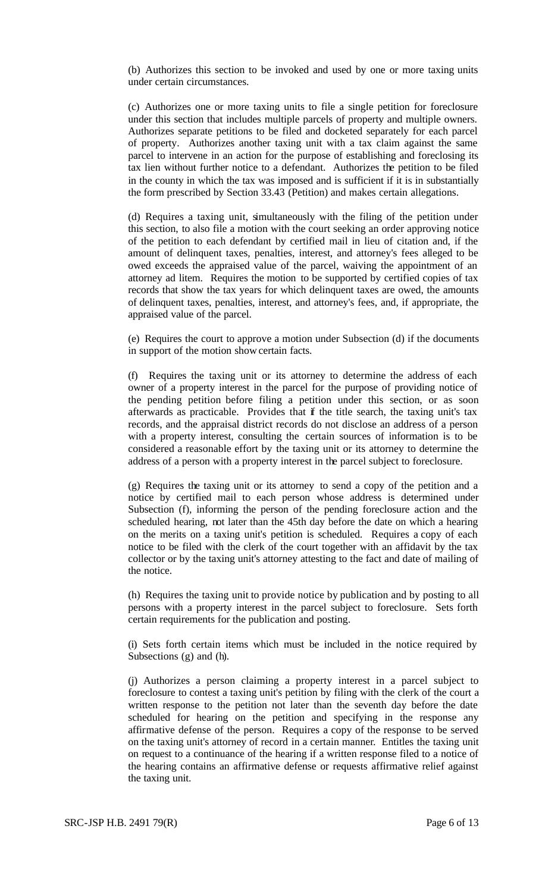(b) Authorizes this section to be invoked and used by one or more taxing units under certain circumstances.

(c) Authorizes one or more taxing units to file a single petition for foreclosure under this section that includes multiple parcels of property and multiple owners. Authorizes separate petitions to be filed and docketed separately for each parcel of property. Authorizes another taxing unit with a tax claim against the same parcel to intervene in an action for the purpose of establishing and foreclosing its tax lien without further notice to a defendant. Authorizes the petition to be filed in the county in which the tax was imposed and is sufficient if it is in substantially the form prescribed by Section 33.43 (Petition) and makes certain allegations.

(d) Requires a taxing unit, simultaneously with the filing of the petition under this section, to also file a motion with the court seeking an order approving notice of the petition to each defendant by certified mail in lieu of citation and, if the amount of delinquent taxes, penalties, interest, and attorney's fees alleged to be owed exceeds the appraised value of the parcel, waiving the appointment of an attorney ad litem. Requires the motion to be supported by certified copies of tax records that show the tax years for which delinquent taxes are owed, the amounts of delinquent taxes, penalties, interest, and attorney's fees, and, if appropriate, the appraised value of the parcel.

(e) Requires the court to approve a motion under Subsection (d) if the documents in support of the motion show certain facts.

(f) Requires the taxing unit or its attorney to determine the address of each owner of a property interest in the parcel for the purpose of providing notice of the pending petition before filing a petition under this section, or as soon afterwards as practicable. Provides that if the title search, the taxing unit's tax records, and the appraisal district records do not disclose an address of a person with a property interest, consulting the certain sources of information is to be considered a reasonable effort by the taxing unit or its attorney to determine the address of a person with a property interest in the parcel subject to foreclosure.

(g) Requires the taxing unit or its attorney to send a copy of the petition and a notice by certified mail to each person whose address is determined under Subsection (f), informing the person of the pending foreclosure action and the scheduled hearing, not later than the 45th day before the date on which a hearing on the merits on a taxing unit's petition is scheduled. Requires a copy of each notice to be filed with the clerk of the court together with an affidavit by the tax collector or by the taxing unit's attorney attesting to the fact and date of mailing of the notice.

(h) Requires the taxing unit to provide notice by publication and by posting to all persons with a property interest in the parcel subject to foreclosure. Sets forth certain requirements for the publication and posting.

(i) Sets forth certain items which must be included in the notice required by Subsections (g) and (h).

(j) Authorizes a person claiming a property interest in a parcel subject to foreclosure to contest a taxing unit's petition by filing with the clerk of the court a written response to the petition not later than the seventh day before the date scheduled for hearing on the petition and specifying in the response any affirmative defense of the person. Requires a copy of the response to be served on the taxing unit's attorney of record in a certain manner. Entitles the taxing unit on request to a continuance of the hearing if a written response filed to a notice of the hearing contains an affirmative defense or requests affirmative relief against the taxing unit.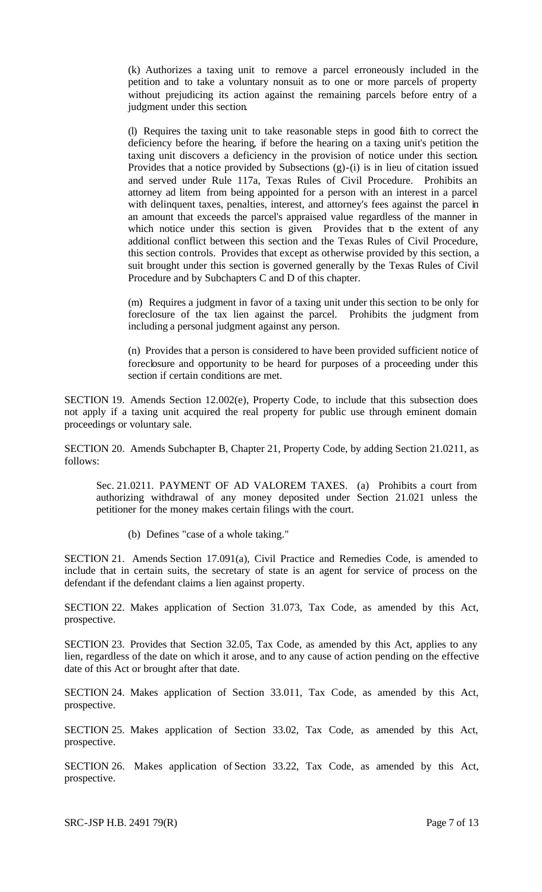(k) Authorizes a taxing unit to remove a parcel erroneously included in the petition and to take a voluntary nonsuit as to one or more parcels of property without prejudicing its action against the remaining parcels before entry of a judgment under this section.

(l) Requires the taxing unit to take reasonable steps in good faith to correct the deficiency before the hearing, if before the hearing on a taxing unit's petition the taxing unit discovers a deficiency in the provision of notice under this section. Provides that a notice provided by Subsections (g)-(i) is in lieu of citation issued and served under Rule 117a, Texas Rules of Civil Procedure. Prohibits an attorney ad litem from being appointed for a person with an interest in a parcel with delinquent taxes, penalties, interest, and attorney's fees against the parcel in an amount that exceeds the parcel's appraised value regardless of the manner in which notice under this section is given. Provides that to the extent of any additional conflict between this section and the Texas Rules of Civil Procedure, this section controls. Provides that except as otherwise provided by this section, a suit brought under this section is governed generally by the Texas Rules of Civil Procedure and by Subchapters C and D of this chapter.

(m) Requires a judgment in favor of a taxing unit under this section to be only for foreclosure of the tax lien against the parcel. Prohibits the judgment from including a personal judgment against any person.

(n) Provides that a person is considered to have been provided sufficient notice of foreclosure and opportunity to be heard for purposes of a proceeding under this section if certain conditions are met.

SECTION 19. Amends Section 12.002(e), Property Code, to include that this subsection does not apply if a taxing unit acquired the real property for public use through eminent domain proceedings or voluntary sale.

SECTION 20. Amends Subchapter B, Chapter 21, Property Code, by adding Section 21.0211, as follows:

Sec. 21.0211. PAYMENT OF AD VALOREM TAXES. (a) Prohibits a court from authorizing withdrawal of any money deposited under Section 21.021 unless the petitioner for the money makes certain filings with the court.

(b) Defines "case of a whole taking."

SECTION 21. Amends Section 17.091(a), Civil Practice and Remedies Code, is amended to include that in certain suits, the secretary of state is an agent for service of process on the defendant if the defendant claims a lien against property.

SECTION 22. Makes application of Section 31.073, Tax Code, as amended by this Act, prospective.

SECTION 23. Provides that Section 32.05, Tax Code, as amended by this Act, applies to any lien, regardless of the date on which it arose, and to any cause of action pending on the effective date of this Act or brought after that date.

SECTION 24. Makes application of Section 33.011, Tax Code, as amended by this Act, prospective.

SECTION 25. Makes application of Section 33.02, Tax Code, as amended by this Act, prospective.

SECTION 26. Makes application of Section 33.22, Tax Code, as amended by this Act, prospective.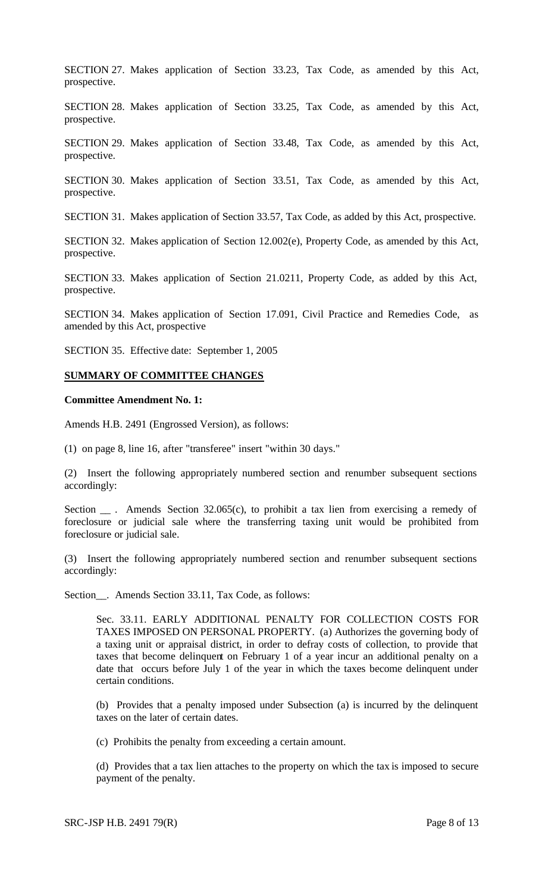SECTION 27. Makes application of Section 33.23, Tax Code, as amended by this Act, prospective.

SECTION 28. Makes application of Section 33.25, Tax Code, as amended by this Act, prospective.

SECTION 29. Makes application of Section 33.48, Tax Code, as amended by this Act, prospective.

SECTION 30. Makes application of Section 33.51, Tax Code, as amended by this Act, prospective.

SECTION 31. Makes application of Section 33.57, Tax Code, as added by this Act, prospective.

SECTION 32. Makes application of Section 12.002(e), Property Code, as amended by this Act, prospective.

SECTION 33. Makes application of Section 21.0211, Property Code, as added by this Act, prospective.

SECTION 34. Makes application of Section 17.091, Civil Practice and Remedies Code, as amended by this Act, prospective

SECTION 35. Effective date: September 1, 2005

#### **SUMMARY OF COMMITTEE CHANGES**

#### **Committee Amendment No. 1:**

Amends H.B. 2491 (Engrossed Version), as follows:

(1) on page 8, line 16, after "transferee" insert "within 30 days."

(2) Insert the following appropriately numbered section and renumber subsequent sections accordingly:

Section \_\_\_. Amends Section 32.065(c), to prohibit a tax lien from exercising a remedy of foreclosure or judicial sale where the transferring taxing unit would be prohibited from foreclosure or judicial sale.

(3) Insert the following appropriately numbered section and renumber subsequent sections accordingly:

Section\_\_. Amends Section 33.11, Tax Code, as follows:

Sec. 33.11. EARLY ADDITIONAL PENALTY FOR COLLECTION COSTS FOR TAXES IMPOSED ON PERSONAL PROPERTY. (a) Authorizes the governing body of a taxing unit or appraisal district, in order to defray costs of collection, to provide that taxes that become delinquent on February 1 of a year incur an additional penalty on a date that occurs before July 1 of the year in which the taxes become delinquent under certain conditions.

(b) Provides that a penalty imposed under Subsection (a) is incurred by the delinquent taxes on the later of certain dates.

(c) Prohibits the penalty from exceeding a certain amount.

(d) Provides that a tax lien attaches to the property on which the tax is imposed to secure payment of the penalty.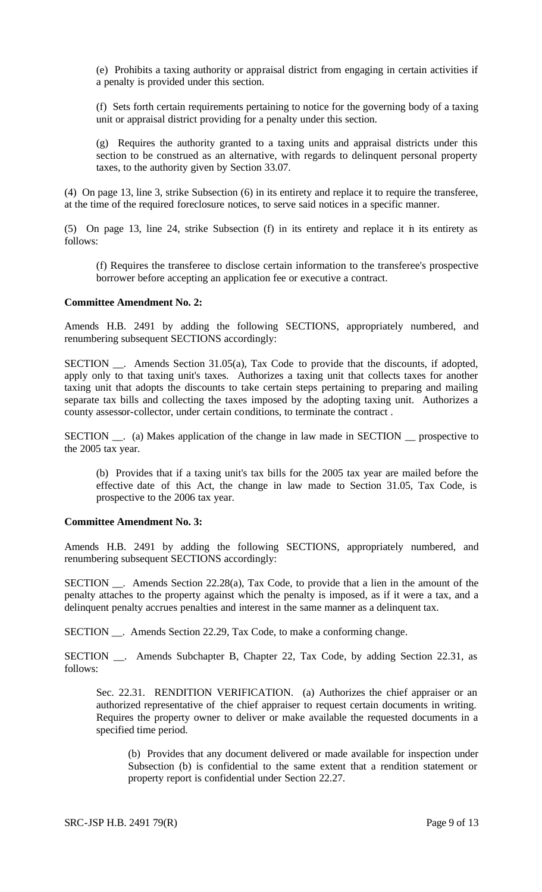(e) Prohibits a taxing authority or appraisal district from engaging in certain activities if a penalty is provided under this section.

(f) Sets forth certain requirements pertaining to notice for the governing body of a taxing unit or appraisal district providing for a penalty under this section.

(g) Requires the authority granted to a taxing units and appraisal districts under this section to be construed as an alternative, with regards to delinquent personal property taxes, to the authority given by Section 33.07.

(4) On page 13, line 3, strike Subsection (6) in its entirety and replace it to require the transferee, at the time of the required foreclosure notices, to serve said notices in a specific manner.

(5) On page 13, line 24, strike Subsection (f) in its entirety and replace it in its entirety as follows:

(f) Requires the transferee to disclose certain information to the transferee's prospective borrower before accepting an application fee or executive a contract.

#### **Committee Amendment No. 2:**

Amends H.B. 2491 by adding the following SECTIONS, appropriately numbered, and renumbering subsequent SECTIONS accordingly:

SECTION \_\_. Amends Section 31.05(a), Tax Code to provide that the discounts, if adopted, apply only to that taxing unit's taxes. Authorizes a taxing unit that collects taxes for another taxing unit that adopts the discounts to take certain steps pertaining to preparing and mailing separate tax bills and collecting the taxes imposed by the adopting taxing unit. Authorizes a county assessor-collector, under certain conditions, to terminate the contract .

SECTION \_\_. (a) Makes application of the change in law made in SECTION \_\_ prospective to the 2005 tax year.

(b) Provides that if a taxing unit's tax bills for the 2005 tax year are mailed before the effective date of this Act, the change in law made to Section 31.05, Tax Code, is prospective to the 2006 tax year.

# **Committee Amendment No. 3:**

Amends H.B. 2491 by adding the following SECTIONS, appropriately numbered, and renumbering subsequent SECTIONS accordingly:

SECTION . Amends Section 22.28(a), Tax Code, to provide that a lien in the amount of the penalty attaches to the property against which the penalty is imposed, as if it were a tax, and a delinquent penalty accrues penalties and interest in the same manner as a delinquent tax.

SECTION \_\_. Amends Section 22.29, Tax Code, to make a conforming change.

SECTION \_\_. Amends Subchapter B, Chapter 22, Tax Code, by adding Section 22.31, as follows:

Sec. 22.31. RENDITION VERIFICATION. (a) Authorizes the chief appraiser or an authorized representative of the chief appraiser to request certain documents in writing. Requires the property owner to deliver or make available the requested documents in a specified time period.

(b) Provides that any document delivered or made available for inspection under Subsection (b) is confidential to the same extent that a rendition statement or property report is confidential under Section 22.27.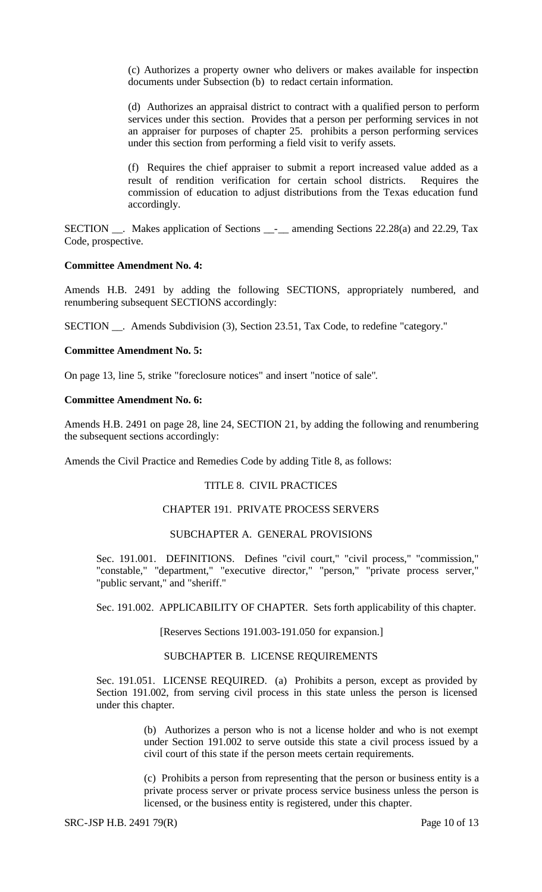(c) Authorizes a property owner who delivers or makes available for inspection documents under Subsection (b) to redact certain information.

(d) Authorizes an appraisal district to contract with a qualified person to perform services under this section. Provides that a person per performing services in not an appraiser for purposes of chapter 25. prohibits a person performing services under this section from performing a field visit to verify assets.

(f) Requires the chief appraiser to submit a report increased value added as a result of rendition verification for certain school districts. Requires the commission of education to adjust distributions from the Texas education fund accordingly.

SECTION \_\_. Makes application of Sections \_\_-\_\_ amending Sections 22.28(a) and 22.29, Tax Code, prospective.

#### **Committee Amendment No. 4:**

Amends H.B. 2491 by adding the following SECTIONS, appropriately numbered, and renumbering subsequent SECTIONS accordingly:

SECTION \_\_. Amends Subdivision (3), Section 23.51, Tax Code, to redefine "category."

#### **Committee Amendment No. 5:**

On page 13, line 5, strike "foreclosure notices" and insert "notice of sale".

#### **Committee Amendment No. 6:**

Amends H.B. 2491 on page 28, line 24, SECTION 21, by adding the following and renumbering the subsequent sections accordingly:

Amends the Civil Practice and Remedies Code by adding Title 8, as follows:

### TITLE 8. CIVIL PRACTICES

# CHAPTER 191. PRIVATE PROCESS SERVERS

### SUBCHAPTER A. GENERAL PROVISIONS

Sec. 191.001. DEFINITIONS. Defines "civil court," "civil process," "commission," "constable," "department," "executive director," "person," "private process server," "public servant," and "sheriff."

Sec. 191.002. APPLICABILITY OF CHAPTER. Sets forth applicability of this chapter.

### [Reserves Sections 191.003-191.050 for expansion.]

#### SUBCHAPTER B. LICENSE REQUIREMENTS

Sec. 191.051. LICENSE REQUIRED. (a) Prohibits a person, except as provided by Section 191.002, from serving civil process in this state unless the person is licensed under this chapter.

> (b) Authorizes a person who is not a license holder and who is not exempt under Section 191.002 to serve outside this state a civil process issued by a civil court of this state if the person meets certain requirements.

> (c) Prohibits a person from representing that the person or business entity is a private process server or private process service business unless the person is licensed, or the business entity is registered, under this chapter.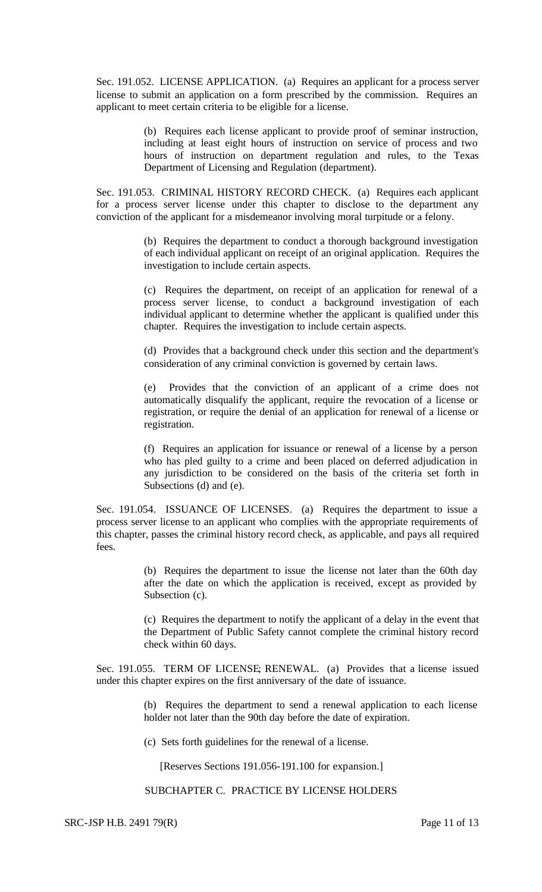Sec. 191.052. LICENSE APPLICATION. (a) Requires an applicant for a process server license to submit an application on a form prescribed by the commission. Requires an applicant to meet certain criteria to be eligible for a license.

> (b) Requires each license applicant to provide proof of seminar instruction, including at least eight hours of instruction on service of process and two hours of instruction on department regulation and rules, to the Texas Department of Licensing and Regulation (department).

Sec. 191.053. CRIMINAL HISTORY RECORD CHECK. (a) Requires each applicant for a process server license under this chapter to disclose to the department any conviction of the applicant for a misdemeanor involving moral turpitude or a felony.

> (b) Requires the department to conduct a thorough background investigation of each individual applicant on receipt of an original application. Requires the investigation to include certain aspects.

> (c) Requires the department, on receipt of an application for renewal of a process server license, to conduct a background investigation of each individual applicant to determine whether the applicant is qualified under this chapter. Requires the investigation to include certain aspects.

> (d) Provides that a background check under this section and the department's consideration of any criminal conviction is governed by certain laws.

> (e) Provides that the conviction of an applicant of a crime does not automatically disqualify the applicant, require the revocation of a license or registration, or require the denial of an application for renewal of a license or registration.

> (f) Requires an application for issuance or renewal of a license by a person who has pled guilty to a crime and been placed on deferred adjudication in any jurisdiction to be considered on the basis of the criteria set forth in Subsections (d) and (e).

Sec. 191.054. ISSUANCE OF LICENSES. (a) Requires the department to issue a process server license to an applicant who complies with the appropriate requirements of this chapter, passes the criminal history record check, as applicable, and pays all required fees.

> (b) Requires the department to issue the license not later than the 60th day after the date on which the application is received, except as provided by Subsection (c).

> (c) Requires the department to notify the applicant of a delay in the event that the Department of Public Safety cannot complete the criminal history record check within 60 days.

Sec. 191.055. TERM OF LICENSE; RENEWAL. (a) Provides that a license issued under this chapter expires on the first anniversary of the date of issuance.

> (b) Requires the department to send a renewal application to each license holder not later than the 90th day before the date of expiration.

(c) Sets forth guidelines for the renewal of a license.

[Reserves Sections 191.056-191.100 for expansion.]

SUBCHAPTER C. PRACTICE BY LICENSE HOLDERS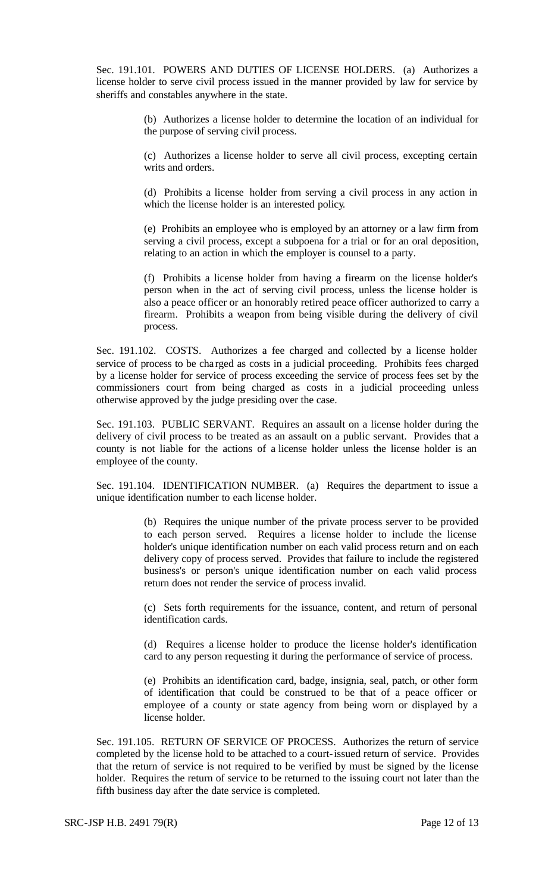Sec. 191.101. POWERS AND DUTIES OF LICENSE HOLDERS. (a) Authorizes a license holder to serve civil process issued in the manner provided by law for service by sheriffs and constables anywhere in the state.

> (b) Authorizes a license holder to determine the location of an individual for the purpose of serving civil process.

> (c) Authorizes a license holder to serve all civil process, excepting certain writs and orders.

> (d) Prohibits a license holder from serving a civil process in any action in which the license holder is an interested policy.

> (e) Prohibits an employee who is employed by an attorney or a law firm from serving a civil process, except a subpoena for a trial or for an oral deposition, relating to an action in which the employer is counsel to a party.

> (f) Prohibits a license holder from having a firearm on the license holder's person when in the act of serving civil process, unless the license holder is also a peace officer or an honorably retired peace officer authorized to carry a firearm. Prohibits a weapon from being visible during the delivery of civil process.

Sec. 191.102. COSTS. Authorizes a fee charged and collected by a license holder service of process to be charged as costs in a judicial proceeding. Prohibits fees charged by a license holder for service of process exceeding the service of process fees set by the commissioners court from being charged as costs in a judicial proceeding unless otherwise approved by the judge presiding over the case.

Sec. 191.103. PUBLIC SERVANT. Requires an assault on a license holder during the delivery of civil process to be treated as an assault on a public servant. Provides that a county is not liable for the actions of a license holder unless the license holder is an employee of the county.

Sec. 191.104. IDENTIFICATION NUMBER. (a) Requires the department to issue a unique identification number to each license holder.

> (b) Requires the unique number of the private process server to be provided to each person served. Requires a license holder to include the license holder's unique identification number on each valid process return and on each delivery copy of process served. Provides that failure to include the registered business's or person's unique identification number on each valid process return does not render the service of process invalid.

> (c) Sets forth requirements for the issuance, content, and return of personal identification cards.

> (d) Requires a license holder to produce the license holder's identification card to any person requesting it during the performance of service of process.

> (e) Prohibits an identification card, badge, insignia, seal, patch, or other form of identification that could be construed to be that of a peace officer or employee of a county or state agency from being worn or displayed by a license holder.

Sec. 191.105. RETURN OF SERVICE OF PROCESS. Authorizes the return of service completed by the license hold to be attached to a court-issued return of service. Provides that the return of service is not required to be verified by must be signed by the license holder. Requires the return of service to be returned to the issuing court not later than the fifth business day after the date service is completed.